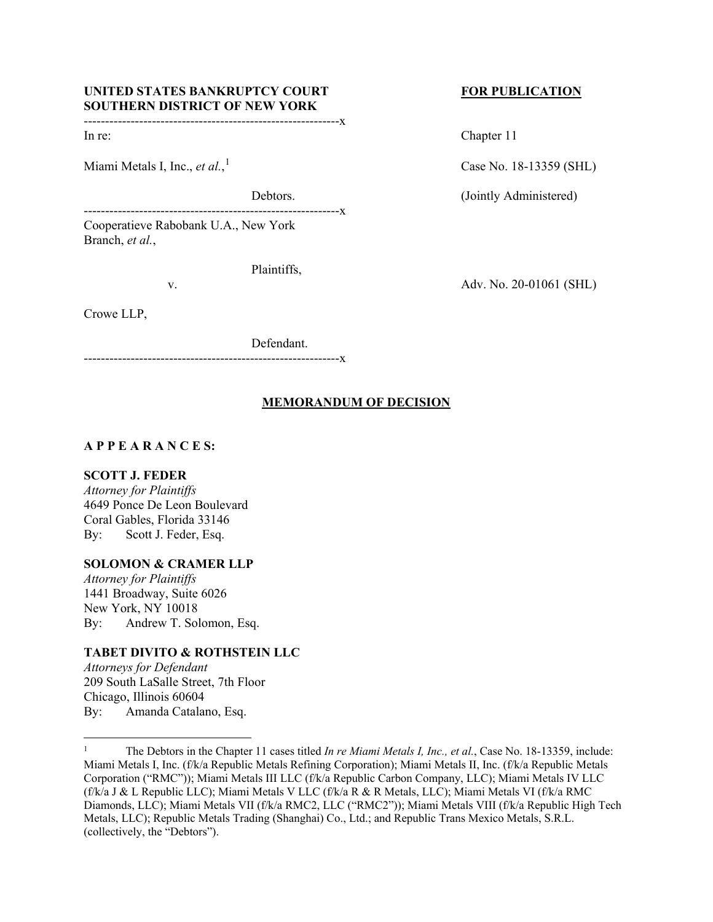#### UNITED STATES BANKRUPTCY COURT FOR PUBLICATION **SOUTHERN DISTRICT OF NEW YORK** ------------------------------------------------------------x

Miami Metals I, Inc., *et al.*,

------------------------------------------------------------x Cooperatieve Rabobank U.A., New York Branch, *et al.*,

Plaintiffs,

Crowe LLP,

Defendant.

------------------------------------------------------------x

### **MEMORANDUM OF DECISION**

#### **A P P E A R A N C E S:**

#### **SCOTT J. FEDER**

*Attorney for Plaintiffs* 4649 Ponce De Leon Boulevard Coral Gables, Florida 33146 By: Scott J. Feder, Esq.

## **SOLOMON & CRAMER LLP**

*Attorney for Plaintiffs* 1441 Broadway, Suite 6026 New York, NY 10018 By: Andrew T. Solomon, Esq.

## **TABET DIVITO & ROTHSTEIN LLC**

*Attorneys for Defendant* 209 South LaSalle Street, 7th Floor Chicago, Illinois 60604 By: Amanda Catalano, Esq.

In re: Chapter 11

Case No. [1](#page-0-0)8-13359 (SHL)

Debtors. (Jointly Administered)

v. Adv. No. 20-01061 (SHL)

<span id="page-0-0"></span><sup>&</sup>lt;sup>1</sup> The Debtors in the Chapter 11 cases titled *In re Miami Metals I, Inc., et al.*, Case No. 18-13359, include: Miami Metals I, Inc. (f/k/a Republic Metals Refining Corporation); Miami Metals II, Inc. (f/k/a Republic Metals Corporation ("RMC")); Miami Metals III LLC (f/k/a Republic Carbon Company, LLC); Miami Metals IV LLC (f/k/a J & L Republic LLC); Miami Metals V LLC (f/k/a R & R Metals, LLC); Miami Metals VI (f/k/a RMC Diamonds, LLC); Miami Metals VII (f/k/a RMC2, LLC ("RMC2")); Miami Metals VIII (f/k/a Republic High Tech Metals, LLC); Republic Metals Trading (Shanghai) Co., Ltd.; and Republic Trans Mexico Metals, S.R.L. (collectively, the "Debtors").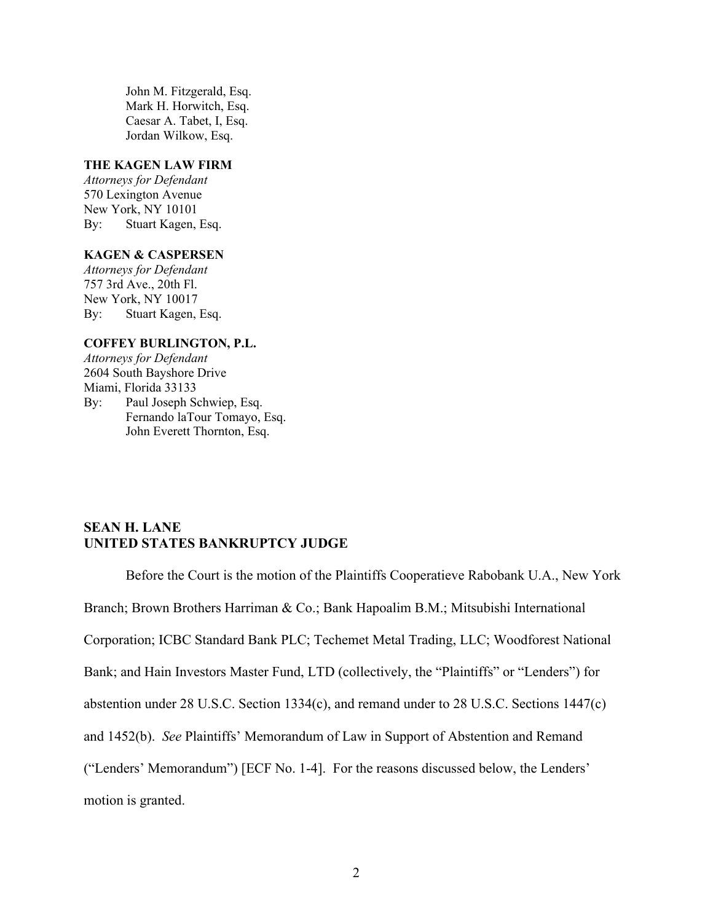John M. Fitzgerald, Esq. Mark H. Horwitch, Esq. Caesar A. Tabet, I, Esq. Jordan Wilkow, Esq.

#### **THE KAGEN LAW FIRM**

*Attorneys for Defendant* 570 Lexington Avenue New York, NY 10101 By: Stuart Kagen, Esq.

#### **KAGEN & CASPERSEN**

*Attorneys for Defendant* 757 3rd Ave., 20th Fl. New York, NY 10017 By: Stuart Kagen, Esq.

#### **COFFEY BURLINGTON, P.L.**

*Attorneys for Defendant* 2604 South Bayshore Drive Miami, Florida 33133 By: Paul Joseph Schwiep, Esq. Fernando laTour Tomayo, Esq. John Everett Thornton, Esq.

# **SEAN H. LANE UNITED STATES BANKRUPTCY JUDGE**

Before the Court is the motion of the Plaintiffs Cooperatieve Rabobank U.A., New York Branch; Brown Brothers Harriman & Co.; Bank Hapoalim B.M.; Mitsubishi International Corporation; ICBC Standard Bank PLC; Techemet Metal Trading, LLC; Woodforest National Bank; and Hain Investors Master Fund, LTD (collectively, the "Plaintiffs" or "Lenders") for abstention under 28 U.S.C. Section 1334(c), and remand under to 28 U.S.C. Sections 1447(c) and 1452(b). *See* Plaintiffs' Memorandum of Law in Support of Abstention and Remand ("Lenders' Memorandum") [ECF No. 1-4]. For the reasons discussed below, the Lenders' motion is granted.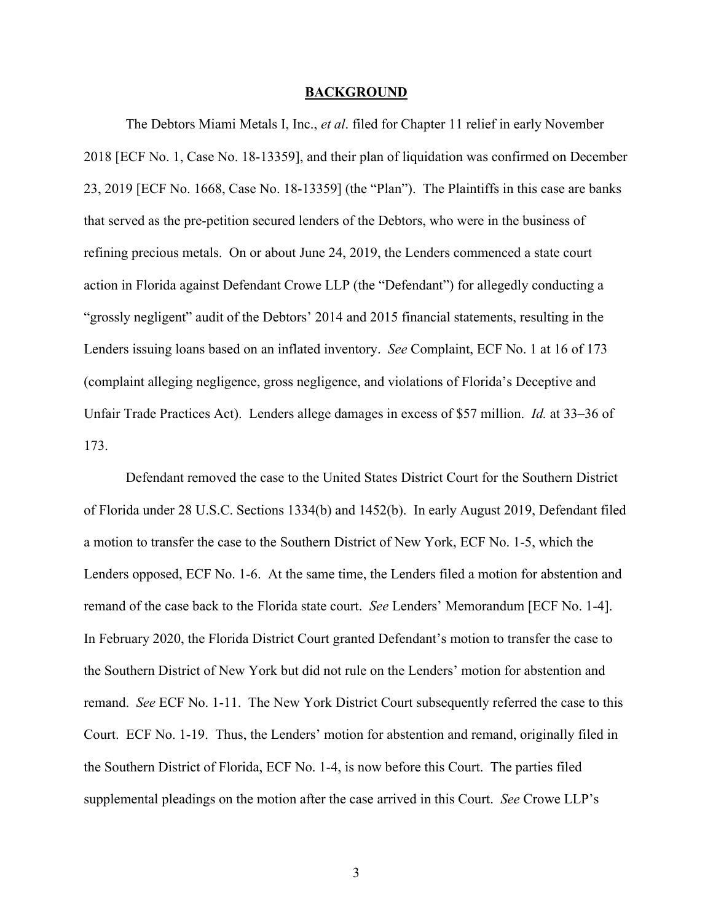#### **BACKGROUND**

The Debtors Miami Metals I, Inc., *et al*. filed for Chapter 11 relief in early November 2018 [ECF No. 1, Case No. 18-13359], and their plan of liquidation was confirmed on December 23, 2019 [ECF No. 1668, Case No. 18-13359] (the "Plan"). The Plaintiffs in this case are banks that served as the pre-petition secured lenders of the Debtors, who were in the business of refining precious metals. On or about June 24, 2019, the Lenders commenced a state court action in Florida against Defendant Crowe LLP (the "Defendant") for allegedly conducting a "grossly negligent" audit of the Debtors' 2014 and 2015 financial statements, resulting in the Lenders issuing loans based on an inflated inventory. *See* Complaint, ECF No. 1 at 16 of 173 (complaint alleging negligence, gross negligence, and violations of Florida's Deceptive and Unfair Trade Practices Act). Lenders allege damages in excess of \$57 million. *Id.* at 33–36 of 173.

Defendant removed the case to the United States District Court for the Southern District of Florida under 28 U.S.C. Sections 1334(b) and 1452(b). In early August 2019, Defendant filed a motion to transfer the case to the Southern District of New York, ECF No. 1-5, which the Lenders opposed, ECF No. 1-6. At the same time, the Lenders filed a motion for abstention and remand of the case back to the Florida state court. *See* Lenders' Memorandum [ECF No. 1-4]. In February 2020, the Florida District Court granted Defendant's motion to transfer the case to the Southern District of New York but did not rule on the Lenders' motion for abstention and remand. *See* ECF No. 1-11. The New York District Court subsequently referred the case to this Court. ECF No. 1-19. Thus, the Lenders' motion for abstention and remand, originally filed in the Southern District of Florida, ECF No. 1-4, is now before this Court. The parties filed supplemental pleadings on the motion after the case arrived in this Court. *See* Crowe LLP's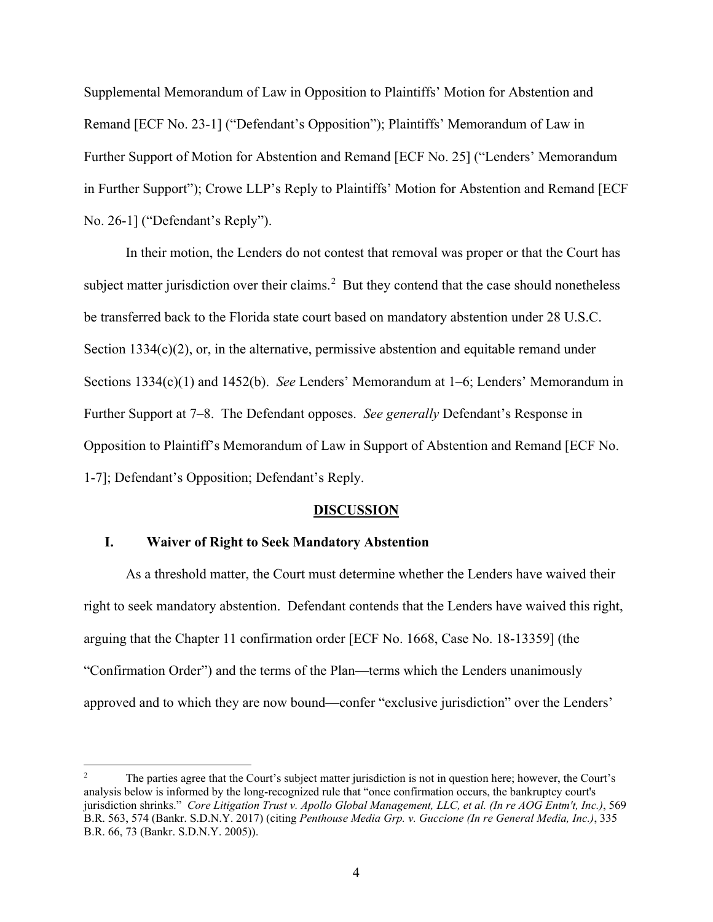Supplemental Memorandum of Law in Opposition to Plaintiffs' Motion for Abstention and Remand [ECF No. 23-1] ("Defendant's Opposition"); Plaintiffs' Memorandum of Law in Further Support of Motion for Abstention and Remand [ECF No. 25] ("Lenders' Memorandum in Further Support"); Crowe LLP's Reply to Plaintiffs' Motion for Abstention and Remand [ECF No. 26-1] ("Defendant's Reply").

In their motion, the Lenders do not contest that removal was proper or that the Court has subject matter jurisdiction over their claims.<sup>[2](#page-3-0)</sup> But they contend that the case should nonetheless be transferred back to the Florida state court based on mandatory abstention under 28 U.S.C. Section 1334(c)(2), or, in the alternative, permissive abstention and equitable remand under Sections 1334(c)(1) and 1452(b). *See* Lenders' Memorandum at 1–6; Lenders' Memorandum in Further Support at 7–8. The Defendant opposes. *See generally* Defendant's Response in Opposition to Plaintiff's Memorandum of Law in Support of Abstention and Remand [ECF No. 1-7]; Defendant's Opposition; Defendant's Reply.

#### **DISCUSSION**

## **I. Waiver of Right to Seek Mandatory Abstention**

As a threshold matter, the Court must determine whether the Lenders have waived their right to seek mandatory abstention. Defendant contends that the Lenders have waived this right, arguing that the Chapter 11 confirmation order [ECF No. 1668, Case No. 18-13359] (the "Confirmation Order") and the terms of the Plan—terms which the Lenders unanimously approved and to which they are now bound—confer "exclusive jurisdiction" over the Lenders'

<span id="page-3-0"></span><sup>&</sup>lt;sup>2</sup> The parties agree that the Court's subject matter jurisdiction is not in question here; however, the Court's analysis below is informed by the long-recognized rule that "once confirmation occurs, the bankruptcy court's jurisdiction shrinks." *Core Litigation Trust v. Apollo Global Management, LLC, et al. (In re AOG Entm't, Inc.)*, 569 B.R. 563, 574 (Bankr. S.D.N.Y. 2017) (citing *Penthouse Media Grp. v. Guccione (In re General Media, Inc.)*, 335 B.R. 66, 73 (Bankr. S.D.N.Y. 2005)).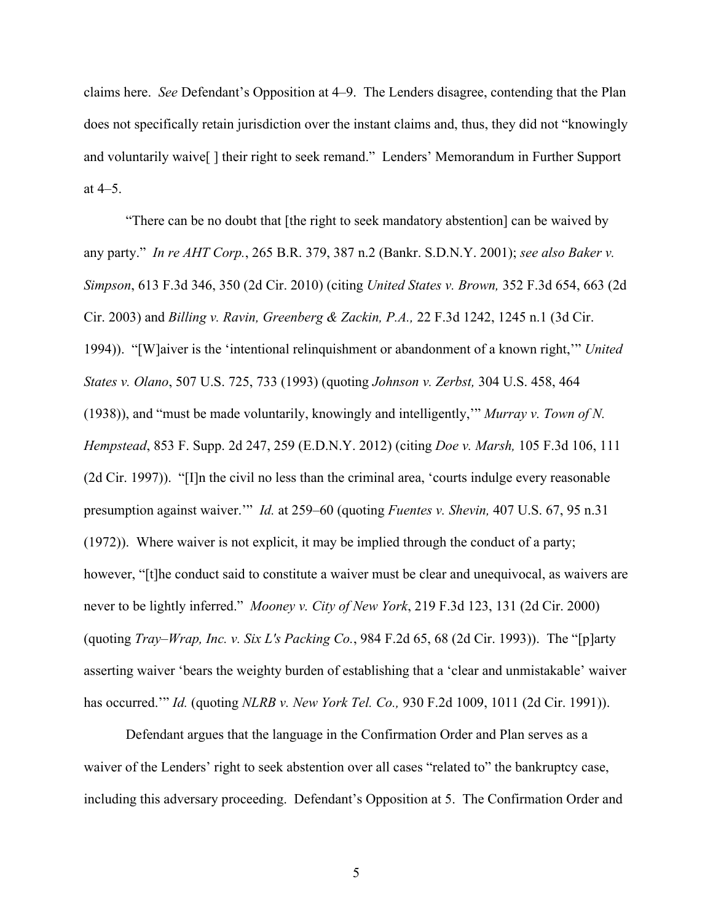claims here. *See* Defendant's Opposition at 4–9. The Lenders disagree, contending that the Plan does not specifically retain jurisdiction over the instant claims and, thus, they did not "knowingly and voluntarily waive<sup>[]</sup> their right to seek remand." Lenders' Memorandum in Further Support at 4–5.

"There can be no doubt that [the right to seek mandatory abstention] can be waived by any party." *In re AHT Corp.*, 265 B.R. 379, 387 n.2 (Bankr. S.D.N.Y. 2001); *see also Baker v. Simpson*, 613 F.3d 346, 350 (2d Cir. 2010) (citing *United States v. Brown,* 352 F.3d 654, 663 (2d Cir. 2003) and *Billing v. Ravin, Greenberg & Zackin, P.A.,* 22 F.3d 1242, 1245 n.1 (3d Cir. 1994)). "[W]aiver is the 'intentional relinquishment or abandonment of a known right,'" *United States v. Olano*, 507 U.S. 725, 733 (1993) (quoting *Johnson v. Zerbst,* 304 U.S. 458, 464 (1938)), and "must be made voluntarily, knowingly and intelligently,'" *Murray v. Town of N. Hempstead*, 853 F. Supp. 2d 247, 259 (E.D.N.Y. 2012) (citing *Doe v. Marsh,* 105 F.3d 106, 111 (2d Cir. 1997)). "[I]n the civil no less than the criminal area, 'courts indulge every reasonable presumption against waiver.'" *Id.* at 259–60 (quoting *Fuentes v. Shevin,* 407 U.S. 67, 95 n.31 (1972)). Where waiver is not explicit, it may be implied through the conduct of a party; however, "[t]he conduct said to constitute a waiver must be clear and unequivocal, as waivers are never to be lightly inferred." *Mooney v. City of New York*, 219 F.3d 123, 131 (2d Cir. 2000) (quoting *Tray–Wrap, Inc. v. Six L's Packing Co.*, 984 F.2d 65, 68 (2d Cir. 1993)). The "[p]arty asserting waiver 'bears the weighty burden of establishing that a 'clear and unmistakable' waiver has occurred.'" *Id.* (quoting *NLRB v. New York Tel. Co.,* 930 F.2d 1009, 1011 (2d Cir. 1991)).

Defendant argues that the language in the Confirmation Order and Plan serves as a waiver of the Lenders' right to seek abstention over all cases "related to" the bankruptcy case, including this adversary proceeding. Defendant's Opposition at 5. The Confirmation Order and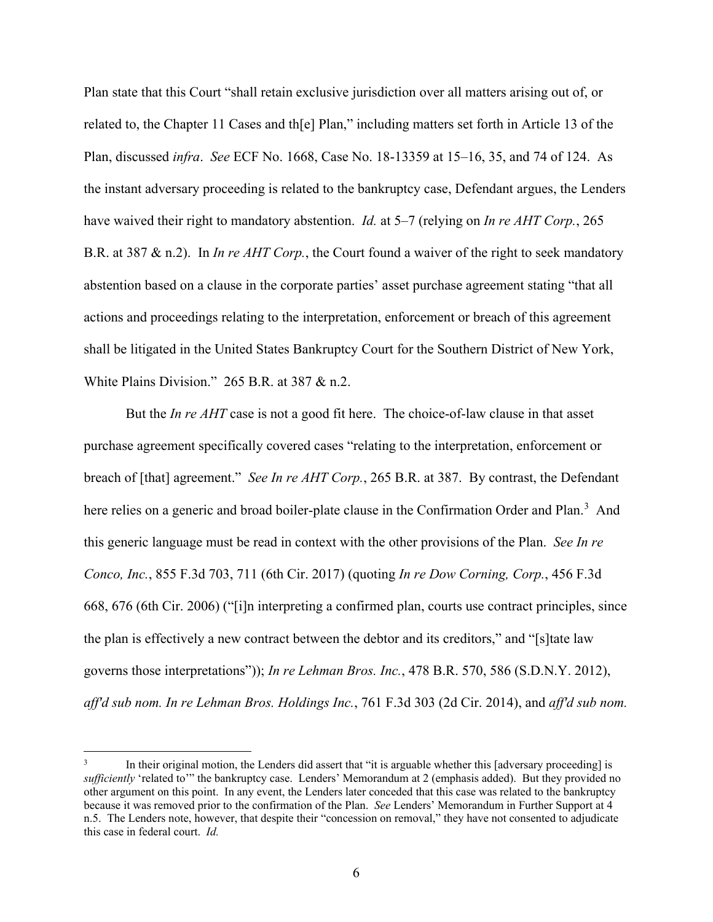Plan state that this Court "shall retain exclusive jurisdiction over all matters arising out of, or related to, the Chapter 11 Cases and th[e] Plan," including matters set forth in Article 13 of the Plan, discussed *infra*. *See* ECF No. 1668, Case No. 18-13359 at 15–16, 35, and 74 of 124. As the instant adversary proceeding is related to the bankruptcy case, Defendant argues, the Lenders have waived their right to mandatory abstention. *Id.* at 5–7 (relying on *In re AHT Corp.*, 265 B.R. at 387 & n.2). In *In re AHT Corp.*, the Court found a waiver of the right to seek mandatory abstention based on a clause in the corporate parties' asset purchase agreement stating "that all actions and proceedings relating to the interpretation, enforcement or breach of this agreement shall be litigated in the United States Bankruptcy Court for the Southern District of New York, White Plains Division." 265 B.R. at 387 & n.2.

But the *In re AHT* case is not a good fit here. The choice-of-law clause in that asset purchase agreement specifically covered cases "relating to the interpretation, enforcement or breach of [that] agreement." *See In re AHT Corp.*, 265 B.R. at 387. By contrast, the Defendant here relies on a generic and broad boiler-plate clause in the Confirmation Order and Plan.<sup>[3](#page-5-0)</sup> And this generic language must be read in context with the other provisions of the Plan. *See In re Conco, Inc.*, 855 F.3d 703, 711 (6th Cir. 2017) (quoting *In re Dow Corning, Corp.*, 456 F.3d 668, 676 (6th Cir. 2006) ("[i]n interpreting a confirmed plan, courts use contract principles, since the plan is effectively a new contract between the debtor and its creditors," and "[s]tate law governs those interpretations")); *In re Lehman Bros. Inc.*, 478 B.R. 570, 586 (S.D.N.Y. 2012), *aff'd sub nom. In re Lehman Bros. Holdings Inc.*, 761 F.3d 303 (2d Cir. 2014), and *aff'd sub nom.*

<span id="page-5-0"></span>In their original motion, the Lenders did assert that "it is arguable whether this [adversary proceeding] is *sufficiently* 'related to'" the bankruptcy case. Lenders' Memorandum at 2 (emphasis added). But they provided no other argument on this point. In any event, the Lenders later conceded that this case was related to the bankruptcy because it was removed prior to the confirmation of the Plan. *See* Lenders' Memorandum in Further Support at 4 n.5. The Lenders note, however, that despite their "concession on removal," they have not consented to adjudicate this case in federal court. *Id.*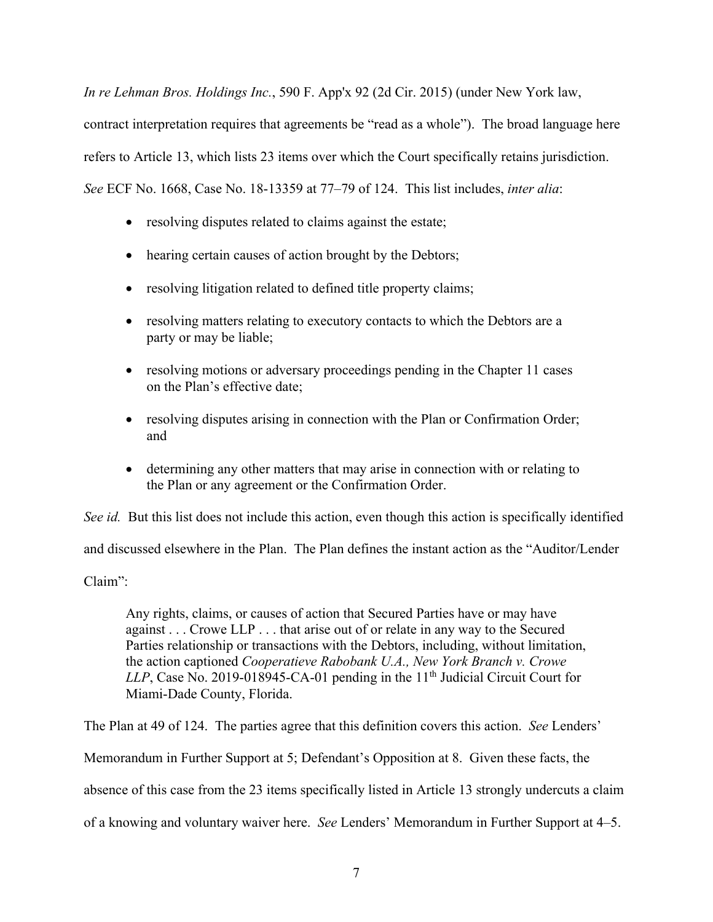*In re Lehman Bros. Holdings Inc.*, 590 F. App'x 92 (2d Cir. 2015) (under New York law, contract interpretation requires that agreements be "read as a whole"). The broad language here refers to Article 13, which lists 23 items over which the Court specifically retains jurisdiction. *See* ECF No. 1668, Case No. 18-13359 at 77–79 of 124. This list includes, *inter alia*:

- resolving disputes related to claims against the estate;
- hearing certain causes of action brought by the Debtors;
- resolving litigation related to defined title property claims;
- resolving matters relating to executory contacts to which the Debtors are a party or may be liable;
- resolving motions or adversary proceedings pending in the Chapter 11 cases on the Plan's effective date;
- resolving disputes arising in connection with the Plan or Confirmation Order; and
- determining any other matters that may arise in connection with or relating to the Plan or any agreement or the Confirmation Order.

*See id.* But this list does not include this action, even though this action is specifically identified and discussed elsewhere in the Plan. The Plan defines the instant action as the "Auditor/Lender Claim":

Any rights, claims, or causes of action that Secured Parties have or may have against . . . Crowe LLP . . . that arise out of or relate in any way to the Secured Parties relationship or transactions with the Debtors, including, without limitation, the action captioned *Cooperatieve Rabobank U.A., New York Branch v. Crowe LLP*, Case No. 2019-018945-CA-01 pending in the  $11<sup>th</sup>$  Judicial Circuit Court for Miami-Dade County, Florida.

The Plan at 49 of 124. The parties agree that this definition covers this action. *See* Lenders'

Memorandum in Further Support at 5; Defendant's Opposition at 8. Given these facts, the

absence of this case from the 23 items specifically listed in Article 13 strongly undercuts a claim

of a knowing and voluntary waiver here. *See* Lenders' Memorandum in Further Support at 4–5.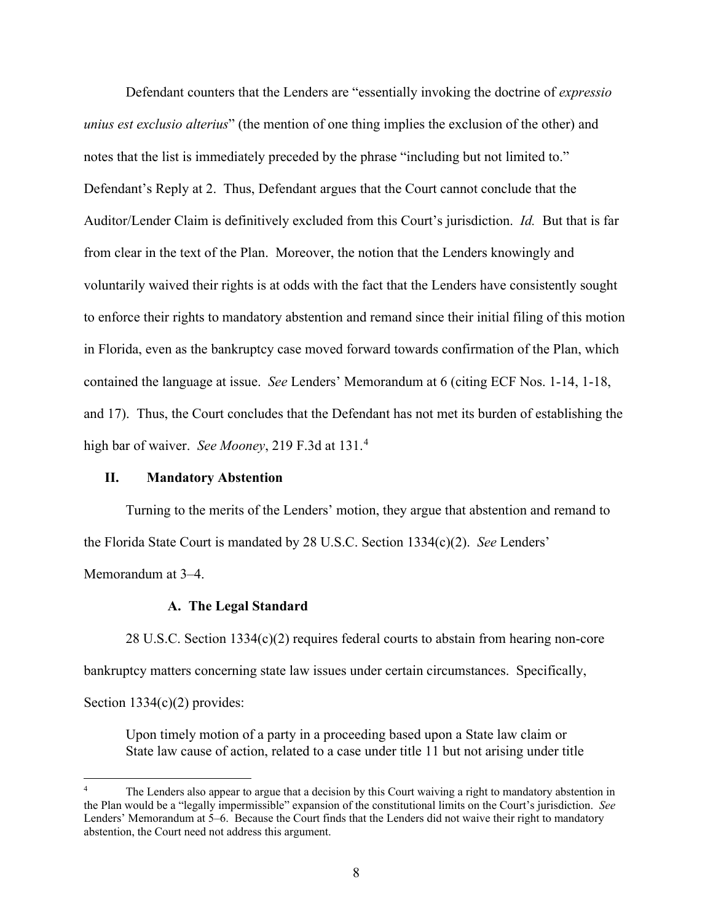Defendant counters that the Lenders are "essentially invoking the doctrine of *expressio unius est exclusio alterius*" (the mention of one thing implies the exclusion of the other) and notes that the list is immediately preceded by the phrase "including but not limited to." Defendant's Reply at 2. Thus, Defendant argues that the Court cannot conclude that the Auditor/Lender Claim is definitively excluded from this Court's jurisdiction. *Id.* But that is far from clear in the text of the Plan. Moreover, the notion that the Lenders knowingly and voluntarily waived their rights is at odds with the fact that the Lenders have consistently sought to enforce their rights to mandatory abstention and remand since their initial filing of this motion in Florida, even as the bankruptcy case moved forward towards confirmation of the Plan, which contained the language at issue. *See* Lenders' Memorandum at 6 (citing ECF Nos. 1-14, 1-18, and 17). Thus, the Court concludes that the Defendant has not met its burden of establishing the high bar of waiver. *See Mooney*, 219 F.3d at 131. [4](#page-7-0)

## **II. Mandatory Abstention**

Turning to the merits of the Lenders' motion, they argue that abstention and remand to the Florida State Court is mandated by 28 U.S.C. Section 1334(c)(2). *See* Lenders' Memorandum at 3–4.

## **A. The Legal Standard**

28 U.S.C. Section 1334(c)(2) requires federal courts to abstain from hearing non-core bankruptcy matters concerning state law issues under certain circumstances. Specifically, Section 1334(c)(2) provides:

Upon timely motion of a party in a proceeding based upon a State law claim or State law cause of action, related to a case under title 11 but not arising under title

<span id="page-7-0"></span>The Lenders also appear to argue that a decision by this Court waiving a right to mandatory abstention in the Plan would be a "legally impermissible" expansion of the constitutional limits on the Court's jurisdiction. *See*  Lenders' Memorandum at 5–6. Because the Court finds that the Lenders did not waive their right to mandatory abstention, the Court need not address this argument.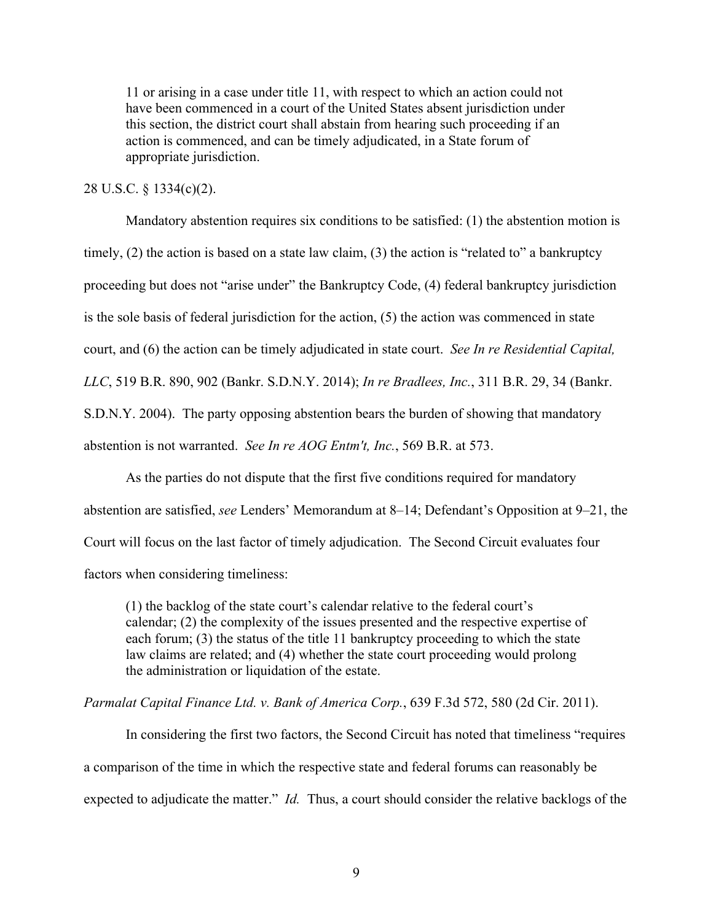11 or arising in a case under title 11, with respect to which an action could not have been commenced in a court of the United States absent jurisdiction under this section, the district court shall abstain from hearing such proceeding if an action is commenced, and can be timely adjudicated, in a State forum of appropriate jurisdiction.

## 28 U.S.C. § 1334(c)(2).

Mandatory abstention requires six conditions to be satisfied: (1) the abstention motion is timely, (2) the action is based on a state law claim, (3) the action is "related to" a bankruptcy proceeding but does not "arise under" the Bankruptcy Code, (4) federal bankruptcy jurisdiction is the sole basis of federal jurisdiction for the action, (5) the action was commenced in state court, and (6) the action can be timely adjudicated in state court. *See In re Residential Capital, LLC*, 519 B.R. 890, 902 (Bankr. S.D.N.Y. 2014); *In re Bradlees, Inc.*, 311 B.R. 29, 34 (Bankr. S.D.N.Y. 2004). The party opposing abstention bears the burden of showing that mandatory abstention is not warranted. *See In re AOG Entm't, Inc.*, 569 B.R. at 573.

As the parties do not dispute that the first five conditions required for mandatory abstention are satisfied, *see* Lenders' Memorandum at 8–14; Defendant's Opposition at 9–21, the Court will focus on the last factor of timely adjudication. The Second Circuit evaluates four factors when considering timeliness:

(1) the backlog of the state court's calendar relative to the federal court's calendar; (2) the complexity of the issues presented and the respective expertise of each forum; (3) the status of the title 11 bankruptcy proceeding to which the state law claims are related; and (4) whether the state court proceeding would prolong the administration or liquidation of the estate.

## *Parmalat Capital Finance Ltd. v. Bank of America Corp.*, 639 F.3d 572, 580 (2d Cir. 2011).

In considering the first two factors, the Second Circuit has noted that timeliness "requires a comparison of the time in which the respective state and federal forums can reasonably be expected to adjudicate the matter." *Id.* Thus, a court should consider the relative backlogs of the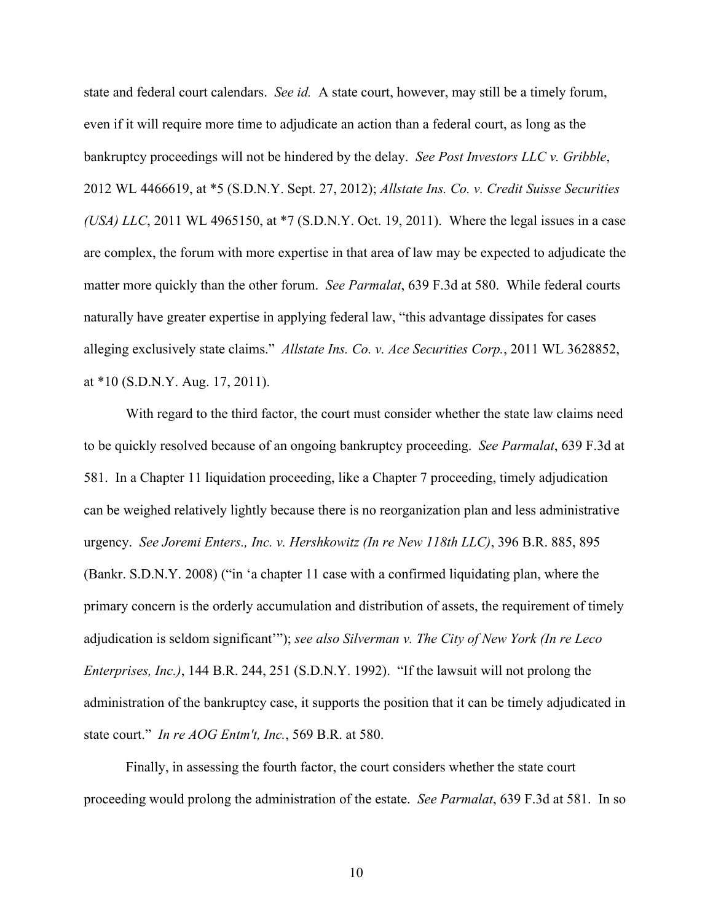state and federal court calendars. *See id.* A state court, however, may still be a timely forum, even if it will require more time to adjudicate an action than a federal court, as long as the bankruptcy proceedings will not be hindered by the delay. *See Post Investors LLC v. Gribble*, 2012 WL 4466619, at \*5 (S.D.N.Y. Sept. 27, 2012); *Allstate Ins. Co. v. Credit Suisse Securities (USA) LLC*, 2011 WL 4965150, at \*7 (S.D.N.Y. Oct. 19, 2011). Where the legal issues in a case are complex, the forum with more expertise in that area of law may be expected to adjudicate the matter more quickly than the other forum. *See Parmalat*, 639 F.3d at 580. While federal courts naturally have greater expertise in applying federal law, "this advantage dissipates for cases alleging exclusively state claims." *Allstate Ins. Co. v. Ace Securities Corp.*, 2011 WL 3628852, at \*10 (S.D.N.Y. Aug. 17, 2011).

With regard to the third factor, the court must consider whether the state law claims need to be quickly resolved because of an ongoing bankruptcy proceeding. *See Parmalat*, 639 F.3d at 581. In a Chapter 11 liquidation proceeding, like a Chapter 7 proceeding, timely adjudication can be weighed relatively lightly because there is no reorganization plan and less administrative urgency. *See Joremi Enters., Inc. v. Hershkowitz (In re New 118th LLC)*, 396 B.R. 885, 895 (Bankr. S.D.N.Y. 2008) ("in 'a chapter 11 case with a confirmed liquidating plan, where the primary concern is the orderly accumulation and distribution of assets, the requirement of timely adjudication is seldom significant'"); *see also Silverman v. The City of New York (In re Leco Enterprises, Inc.)*, 144 B.R. 244, 251 (S.D.N.Y. 1992). "If the lawsuit will not prolong the administration of the bankruptcy case, it supports the position that it can be timely adjudicated in state court." *In re AOG Entm't, Inc.*, 569 B.R. at 580.

Finally, in assessing the fourth factor, the court considers whether the state court proceeding would prolong the administration of the estate. *See Parmalat*, 639 F.3d at 581. In so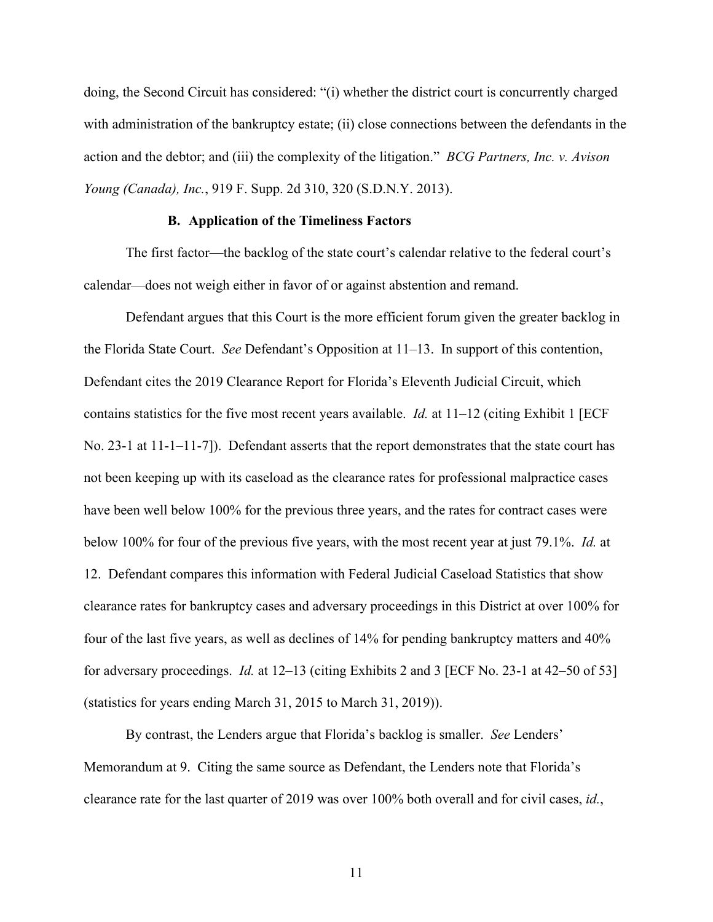doing, the Second Circuit has considered: "(i) whether the district court is concurrently charged with administration of the bankruptcy estate; (ii) close connections between the defendants in the action and the debtor; and (iii) the complexity of the litigation." *BCG Partners, Inc. v. Avison Young (Canada), Inc.*, 919 F. Supp. 2d 310, 320 (S.D.N.Y. 2013).

#### **B. Application of the Timeliness Factors**

The first factor—the backlog of the state court's calendar relative to the federal court's calendar—does not weigh either in favor of or against abstention and remand.

Defendant argues that this Court is the more efficient forum given the greater backlog in the Florida State Court. *See* Defendant's Opposition at 11–13. In support of this contention, Defendant cites the 2019 Clearance Report for Florida's Eleventh Judicial Circuit, which contains statistics for the five most recent years available. *Id.* at 11–12 (citing Exhibit 1 [ECF No. 23-1 at 11-1–11-7]). Defendant asserts that the report demonstrates that the state court has not been keeping up with its caseload as the clearance rates for professional malpractice cases have been well below 100% for the previous three years, and the rates for contract cases were below 100% for four of the previous five years, with the most recent year at just 79.1%. *Id.* at 12. Defendant compares this information with Federal Judicial Caseload Statistics that show clearance rates for bankruptcy cases and adversary proceedings in this District at over 100% for four of the last five years, as well as declines of 14% for pending bankruptcy matters and 40% for adversary proceedings. *Id.* at 12–13 (citing Exhibits 2 and 3 [ECF No. 23-1 at 42–50 of 53] (statistics for years ending March 31, 2015 to March 31, 2019)).

By contrast, the Lenders argue that Florida's backlog is smaller. *See* Lenders' Memorandum at 9. Citing the same source as Defendant, the Lenders note that Florida's clearance rate for the last quarter of 2019 was over 100% both overall and for civil cases, *id.*,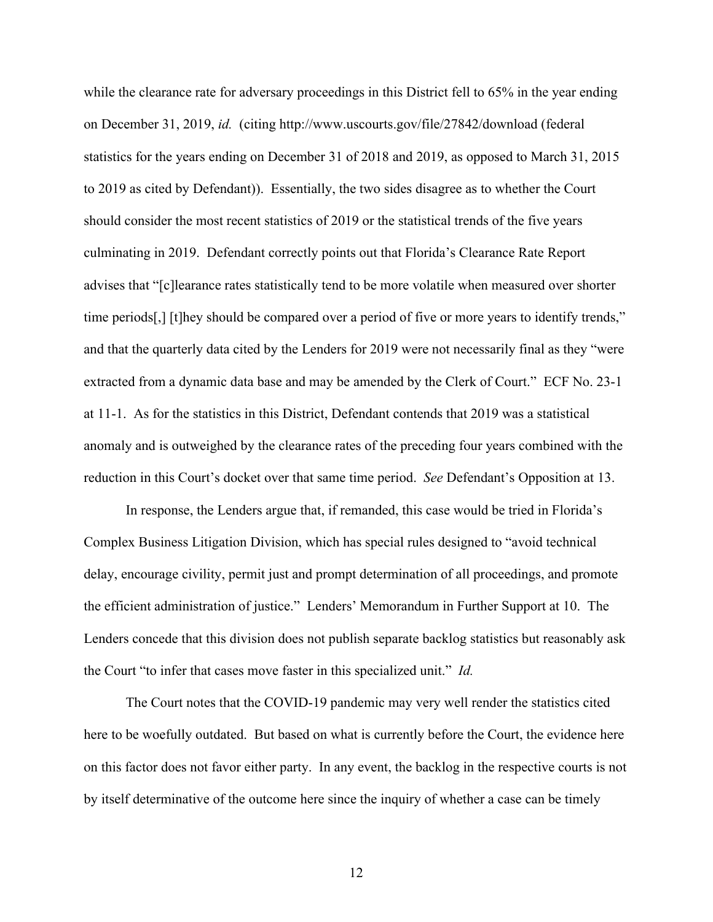while the clearance rate for adversary proceedings in this District fell to 65% in the year ending on December 31, 2019, *id.* (citing http://www.uscourts.gov/file/27842/download (federal statistics for the years ending on December 31 of 2018 and 2019, as opposed to March 31, 2015 to 2019 as cited by Defendant)). Essentially, the two sides disagree as to whether the Court should consider the most recent statistics of 2019 or the statistical trends of the five years culminating in 2019. Defendant correctly points out that Florida's Clearance Rate Report advises that "[c]learance rates statistically tend to be more volatile when measured over shorter time periods[,] [t]hey should be compared over a period of five or more years to identify trends," and that the quarterly data cited by the Lenders for 2019 were not necessarily final as they "were extracted from a dynamic data base and may be amended by the Clerk of Court." ECF No. 23-1 at 11-1. As for the statistics in this District, Defendant contends that 2019 was a statistical anomaly and is outweighed by the clearance rates of the preceding four years combined with the reduction in this Court's docket over that same time period. *See* Defendant's Opposition at 13.

In response, the Lenders argue that, if remanded, this case would be tried in Florida's Complex Business Litigation Division, which has special rules designed to "avoid technical delay, encourage civility, permit just and prompt determination of all proceedings, and promote the efficient administration of justice." Lenders' Memorandum in Further Support at 10. The Lenders concede that this division does not publish separate backlog statistics but reasonably ask the Court "to infer that cases move faster in this specialized unit." *Id.*

The Court notes that the COVID-19 pandemic may very well render the statistics cited here to be woefully outdated. But based on what is currently before the Court, the evidence here on this factor does not favor either party. In any event, the backlog in the respective courts is not by itself determinative of the outcome here since the inquiry of whether a case can be timely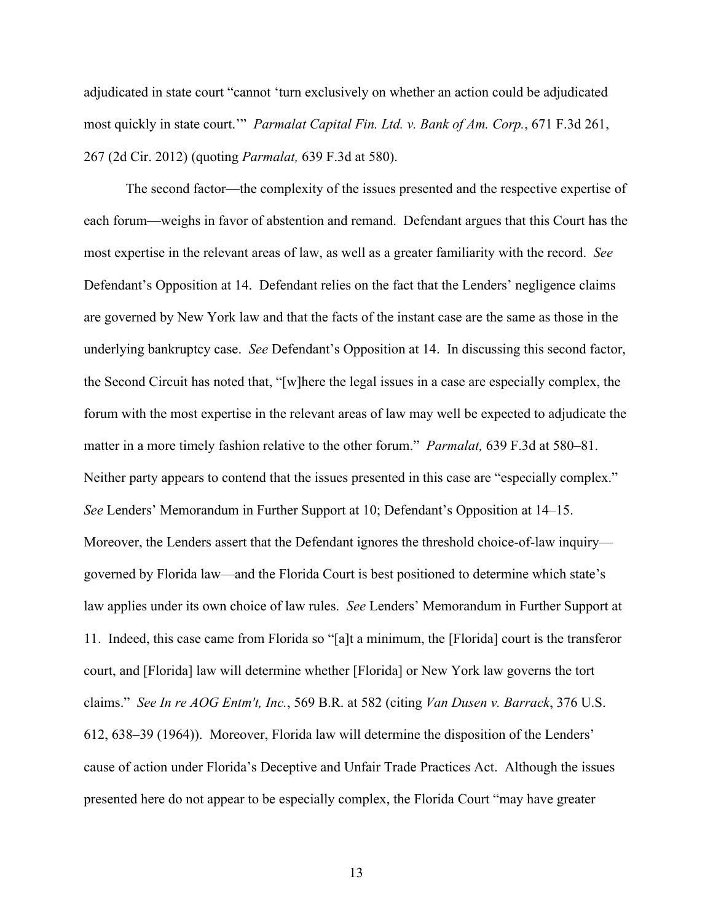adjudicated in state court "cannot 'turn exclusively on whether an action could be adjudicated most quickly in state court.'" *Parmalat Capital Fin. Ltd. v. Bank of Am. Corp.*, 671 F.3d 261, 267 (2d Cir. 2012) (quoting *Parmalat,* 639 F.3d at 580).

The second factor—the complexity of the issues presented and the respective expertise of each forum—weighs in favor of abstention and remand. Defendant argues that this Court has the most expertise in the relevant areas of law, as well as a greater familiarity with the record. *See* Defendant's Opposition at 14. Defendant relies on the fact that the Lenders' negligence claims are governed by New York law and that the facts of the instant case are the same as those in the underlying bankruptcy case. *See* Defendant's Opposition at 14. In discussing this second factor, the Second Circuit has noted that, "[w]here the legal issues in a case are especially complex, the forum with the most expertise in the relevant areas of law may well be expected to adjudicate the matter in a more timely fashion relative to the other forum." *Parmalat,* 639 F.3d at 580–81. Neither party appears to contend that the issues presented in this case are "especially complex." *See* Lenders' Memorandum in Further Support at 10; Defendant's Opposition at 14–15. Moreover, the Lenders assert that the Defendant ignores the threshold choice-of-law inquiry governed by Florida law—and the Florida Court is best positioned to determine which state's law applies under its own choice of law rules. *See* Lenders' Memorandum in Further Support at 11. Indeed, this case came from Florida so "[a]t a minimum, the [Florida] court is the transferor court, and [Florida] law will determine whether [Florida] or New York law governs the tort claims." *See In re AOG Entm't, Inc.*, 569 B.R. at 582 (citing *Van Dusen v. Barrack*, 376 U.S. 612, 638–39 (1964)). Moreover, Florida law will determine the disposition of the Lenders' cause of action under Florida's Deceptive and Unfair Trade Practices Act. Although the issues presented here do not appear to be especially complex, the Florida Court "may have greater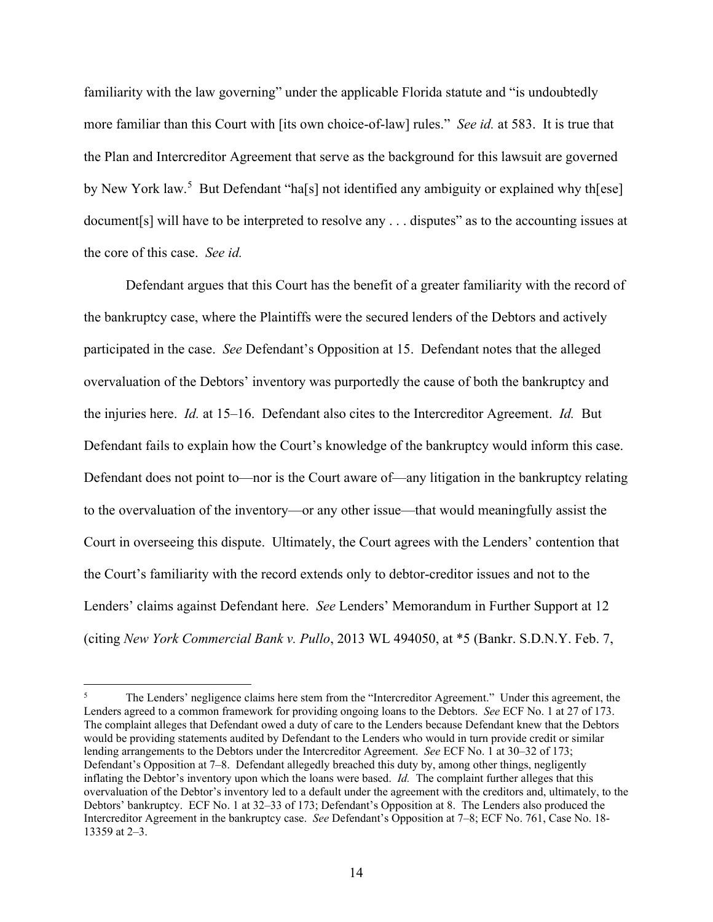familiarity with the law governing" under the applicable Florida statute and "is undoubtedly more familiar than this Court with [its own choice-of-law] rules." *See id.* at 583. It is true that the Plan and Intercreditor Agreement that serve as the background for this lawsuit are governed by New York law.<sup>[5](#page-13-0)</sup> But Defendant "ha[s] not identified any ambiguity or explained why th[ese] document[s] will have to be interpreted to resolve any . . . disputes" as to the accounting issues at the core of this case. *See id.*

Defendant argues that this Court has the benefit of a greater familiarity with the record of the bankruptcy case, where the Plaintiffs were the secured lenders of the Debtors and actively participated in the case. *See* Defendant's Opposition at 15. Defendant notes that the alleged overvaluation of the Debtors' inventory was purportedly the cause of both the bankruptcy and the injuries here. *Id.* at 15–16. Defendant also cites to the Intercreditor Agreement. *Id.* But Defendant fails to explain how the Court's knowledge of the bankruptcy would inform this case. Defendant does not point to—nor is the Court aware of—any litigation in the bankruptcy relating to the overvaluation of the inventory—or any other issue—that would meaningfully assist the Court in overseeing this dispute. Ultimately, the Court agrees with the Lenders' contention that the Court's familiarity with the record extends only to debtor-creditor issues and not to the Lenders' claims against Defendant here. *See* Lenders' Memorandum in Further Support at 12 (citing *New York Commercial Bank v. Pullo*, 2013 WL 494050, at \*5 (Bankr. S.D.N.Y. Feb. 7,

<span id="page-13-0"></span><sup>5</sup> The Lenders' negligence claims here stem from the "Intercreditor Agreement." Under this agreement, the Lenders agreed to a common framework for providing ongoing loans to the Debtors. *See* ECF No. 1 at 27 of 173. The complaint alleges that Defendant owed a duty of care to the Lenders because Defendant knew that the Debtors would be providing statements audited by Defendant to the Lenders who would in turn provide credit or similar lending arrangements to the Debtors under the Intercreditor Agreement. *See* ECF No. 1 at 30–32 of 173; Defendant's Opposition at 7–8. Defendant allegedly breached this duty by, among other things, negligently inflating the Debtor's inventory upon which the loans were based. *Id.* The complaint further alleges that this overvaluation of the Debtor's inventory led to a default under the agreement with the creditors and, ultimately, to the Debtors' bankruptcy. ECF No. 1 at 32–33 of 173; Defendant's Opposition at 8. The Lenders also produced the Intercreditor Agreement in the bankruptcy case. *See* Defendant's Opposition at 7–8; ECF No. 761, Case No. 18- 13359 at 2–3.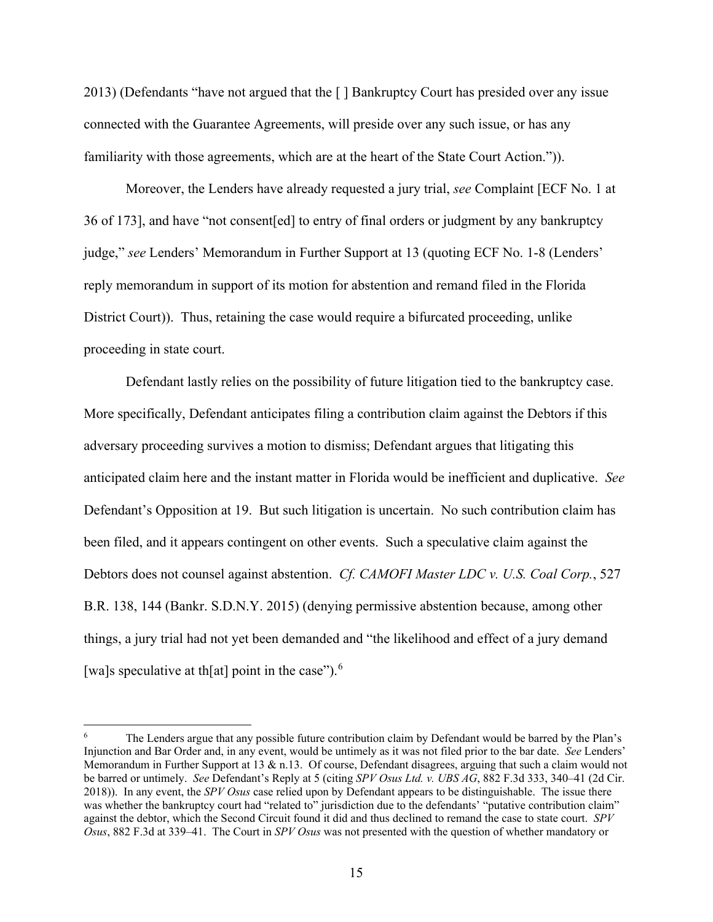2013) (Defendants "have not argued that the [ ] Bankruptcy Court has presided over any issue connected with the Guarantee Agreements, will preside over any such issue, or has any familiarity with those agreements, which are at the heart of the State Court Action.")).

Moreover, the Lenders have already requested a jury trial, *see* Complaint [ECF No. 1 at 36 of 173], and have "not consent[ed] to entry of final orders or judgment by any bankruptcy judge," *see* Lenders' Memorandum in Further Support at 13 (quoting ECF No. 1-8 (Lenders' reply memorandum in support of its motion for abstention and remand filed in the Florida District Court)). Thus, retaining the case would require a bifurcated proceeding, unlike proceeding in state court.

Defendant lastly relies on the possibility of future litigation tied to the bankruptcy case. More specifically, Defendant anticipates filing a contribution claim against the Debtors if this adversary proceeding survives a motion to dismiss; Defendant argues that litigating this anticipated claim here and the instant matter in Florida would be inefficient and duplicative. *See* Defendant's Opposition at 19. But such litigation is uncertain. No such contribution claim has been filed, and it appears contingent on other events. Such a speculative claim against the Debtors does not counsel against abstention. *Cf. CAMOFI Master LDC v. U.S. Coal Corp.*, 527 B.R. 138, 144 (Bankr. S.D.N.Y. 2015) (denying permissive abstention because, among other things, a jury trial had not yet been demanded and "the likelihood and effect of a jury demand [wa]s speculative at th[at] point in the case").<sup>[6](#page-14-0)</sup>

<span id="page-14-0"></span>The Lenders argue that any possible future contribution claim by Defendant would be barred by the Plan's Injunction and Bar Order and, in any event, would be untimely as it was not filed prior to the bar date. *See* Lenders' Memorandum in Further Support at 13 & n.13. Of course, Defendant disagrees, arguing that such a claim would not be barred or untimely. *See* Defendant's Reply at 5 (citing *SPV Osus Ltd. v. UBS AG*, 882 F.3d 333, 340–41 (2d Cir. 2018)). In any event, the *SPV Osus* case relied upon by Defendant appears to be distinguishable. The issue there was whether the bankruptcy court had "related to" jurisdiction due to the defendants' "putative contribution claim" against the debtor, which the Second Circuit found it did and thus declined to remand the case to state court. *SPV Osus*, 882 F.3d at 339–41. The Court in *SPV Osus* was not presented with the question of whether mandatory or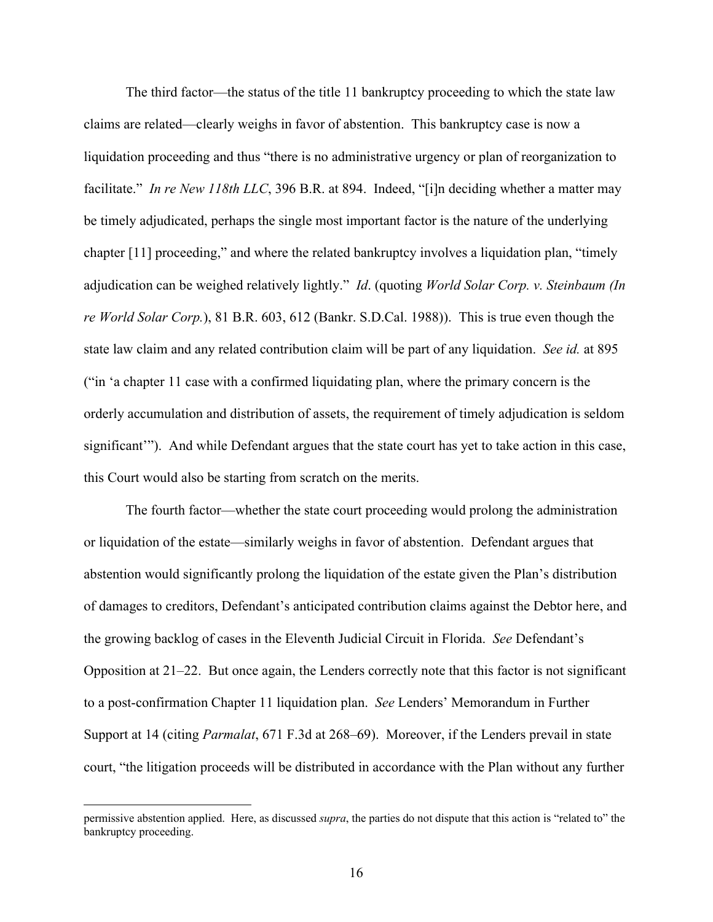The third factor—the status of the title 11 bankruptcy proceeding to which the state law claims are related—clearly weighs in favor of abstention. This bankruptcy case is now a liquidation proceeding and thus "there is no administrative urgency or plan of reorganization to facilitate." *In re New 118th LLC*, 396 B.R. at 894. Indeed, "[i]n deciding whether a matter may be timely adjudicated, perhaps the single most important factor is the nature of the underlying chapter [11] proceeding," and where the related bankruptcy involves a liquidation plan, "timely adjudication can be weighed relatively lightly." *Id*. (quoting *World Solar Corp. v. Steinbaum (In re World Solar Corp.*), 81 B.R. 603, 612 (Bankr. S.D.Cal. 1988)). This is true even though the state law claim and any related contribution claim will be part of any liquidation. *See id.* at 895 ("in 'a chapter 11 case with a confirmed liquidating plan, where the primary concern is the orderly accumulation and distribution of assets, the requirement of timely adjudication is seldom significant'"). And while Defendant argues that the state court has yet to take action in this case, this Court would also be starting from scratch on the merits.

The fourth factor—whether the state court proceeding would prolong the administration or liquidation of the estate—similarly weighs in favor of abstention. Defendant argues that abstention would significantly prolong the liquidation of the estate given the Plan's distribution of damages to creditors, Defendant's anticipated contribution claims against the Debtor here, and the growing backlog of cases in the Eleventh Judicial Circuit in Florida. *See* Defendant's Opposition at 21–22. But once again, the Lenders correctly note that this factor is not significant to a post-confirmation Chapter 11 liquidation plan. *See* Lenders' Memorandum in Further Support at 14 (citing *Parmalat*, 671 F.3d at 268–69). Moreover, if the Lenders prevail in state court, "the litigation proceeds will be distributed in accordance with the Plan without any further

permissive abstention applied. Here, as discussed *supra*, the parties do not dispute that this action is "related to" the bankruptcy proceeding.